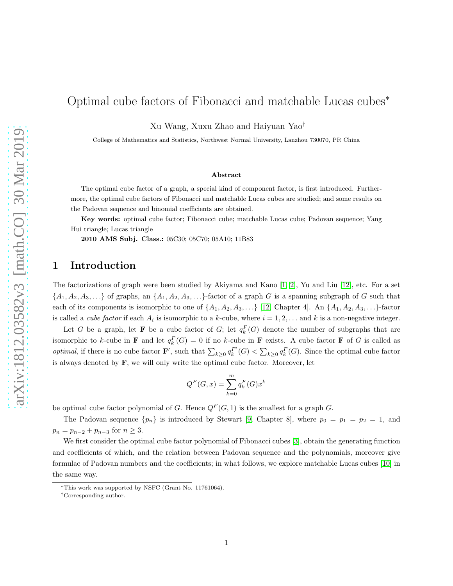# Optimal cube factors of Fibonacci and matchable Lucas cubes<sup>∗</sup>

Xu Wang, Xuxu Zhao and Haiyuan Yao†

College of Mathematics and Statistics, Northwest Normal University, Lanzhou 730070, PR China

#### Abstract

The optimal cube factor of a graph, a special kind of component factor, is first introduced. Furthermore, the optimal cube factors of Fibonacci and matchable Lucas cubes are studied; and some results on the Padovan sequence and binomial coefficients are obtained.

Key words: optimal cube factor; Fibonacci cube; matchable Lucas cube; Padovan sequence; Yang Hui triangle; Lucas triangle

2010 AMS Subj. Class.: 05C30; 05C70; 05A10; 11B83

### 1 Introduction

The factorizations of graph were been studied by Akiyama and Kano [\[1,](#page-8-0) [2\]](#page-9-0), Yu and Liu [\[12\]](#page-9-1), etc. For a set  $\{A_1, A_2, A_3, \ldots\}$  of graphs, an  $\{A_1, A_2, A_3, \ldots\}$ -factor of a graph G is a spanning subgraph of G such that each of its components is isomorphic to one of  $\{A_1, A_2, A_3, \ldots\}$  [\[12,](#page-9-1) Chapter 4]. An  $\{A_1, A_2, A_3, \ldots\}$ -factor is called a *cube factor* if each  $A_i$  is isomorphic to a k-cube, where  $i = 1, 2, \ldots$  and k is a non-negative integer.

Let G be a graph, let **F** be a cube factor of G; let  $q_k^F(G)$  denote the number of subgraphs that are isomorphic to k-cube in **F** and let  $q_k^F(G) = 0$  if no k-cube in **F** exists. A cube factor **F** of G is called as *optimal*, if there is no cube factor **F**', such that  $\sum_{k\geq 0} q_k^{F'}$  $\binom{F'}{k}(G) < \sum_{k \geq 0} q_k^F(G)$ . Since the optimal cube factor is always denoted by  $\mathbf{F}$ , we will only write the optimal cube factor. Moreover, let

$$
Q^F(G, x) = \sum_{k=0}^{m} q_k^F(G) x^k
$$

be optimal cube factor polynomial of G. Hence  $Q^F(G, 1)$  is the smallest for a graph G.

The Padovan sequence  $\{p_n\}$  is introduced by Stewart [\[9,](#page-9-2) Chapter 8], where  $p_0 = p_1 = p_2 = 1$ , and  $p_n = p_{n-2} + p_{n-3}$  for  $n \geq 3$ .

We first consider the optimal cube factor polynomial of Fibonacci cubes [\[3\]](#page-9-3), obtain the generating function and coefficients of which, and the relation between Padovan sequence and the polynomials, moreover give formulae of Padovan numbers and the coefficients; in what follows, we explore matchable Lucas cubes [\[10\]](#page-9-4) in the same way.

<sup>∗</sup>This work was supported by NSFC (Grant No. 11761064).

<sup>†</sup>Corresponding author.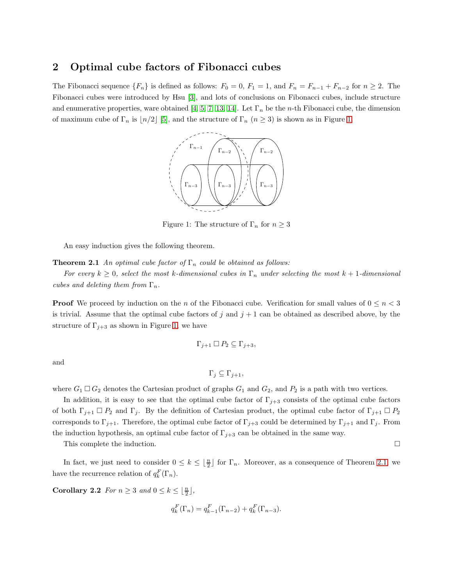### 2 Optimal cube factors of Fibonacci cubes

<span id="page-1-0"></span>The Fibonacci sequence  $\{F_n\}$  is defined as follows:  $F_0 = 0$ ,  $F_1 = 1$ , and  $F_n = F_{n-1} + F_{n-2}$  for  $n \geq 2$ . The Fibonacci cubes were introduced by Hsu [\[3\]](#page-9-3), and lots of conclusions on Fibonacci cubes, include structure and enumerative properties, ware obtained [\[4,](#page-9-5) [5,](#page-9-6) [7,](#page-9-7) [13,](#page-9-8) [14\]](#page-9-9). Let  $\Gamma_n$  be the *n*-th Fibonacci cube, the dimension of maximum cube of  $\Gamma_n$  is  $\lfloor n/2 \rfloor$  [\[5\]](#page-9-6), and the structure of  $\Gamma_n$   $(n \geq 3)$  is shown as in Figure [1.](#page-1-0)



<span id="page-1-1"></span>Figure 1: The structure of  $\Gamma_n$  for  $n \geq 3$ 

An easy induction gives the following theorem.

**Theorem 2.1** An optimal cube factor of  $\Gamma_n$  could be obtained as follows:

For every  $k \geq 0$ , select the most k-dimensional cubes in  $\Gamma_n$  under selecting the most  $k+1$ -dimensional cubes and deleting them from  $\Gamma_n$ .

**Proof** We proceed by induction on the n of the Fibonacci cube. Verification for small values of  $0 \le n < 3$ is trivial. Assume that the optimal cube factors of j and  $j + 1$  can be obtained as described above, by the structure of  $\Gamma_{j+3}$  as shown in Figure [1,](#page-1-0) we have

$$
\Gamma_{j+1} \square P_2 \subseteq \Gamma_{j+3},
$$

and

$$
\Gamma_j \subseteq \Gamma_{j+1},
$$

where  $G_1 \square G_2$  denotes the Cartesian product of graphs  $G_1$  and  $G_2$ , and  $P_2$  is a path with two vertices.

In addition, it is easy to see that the optimal cube factor of  $\Gamma_{j+3}$  consists of the optimal cube factors of both  $\Gamma_{j+1} \square P_2$  and  $\Gamma_j$ . By the definition of Cartesian product, the optimal cube factor of  $\Gamma_{j+1} \square P_2$ corresponds to  $\Gamma_{j+1}$ . Therefore, the optimal cube factor of  $\Gamma_{j+3}$  could be determined by  $\Gamma_{j+1}$  and  $\Gamma_j$ . From the induction hypothesis, an optimal cube factor of  $\Gamma_{j+3}$  can be obtained in the same way.

This complete the induction.

<span id="page-1-2"></span>In fact, we just need to consider  $0 \leq k \leq \lfloor \frac{n}{2} \rfloor$  for  $\Gamma_n$ . Moreover, as a consequence of Theorem [2.1,](#page-1-1) we have the recurrence relation of  $q_k^F(\Gamma_n)$ .

Corollary 2.2 For  $n \geq 3$  and  $0 \leq k \leq \lfloor \frac{n}{2} \rfloor$ ,

$$
q_k^F(\Gamma_n) = q_{k-1}^F(\Gamma_{n-2}) + q_k^F(\Gamma_{n-3}).
$$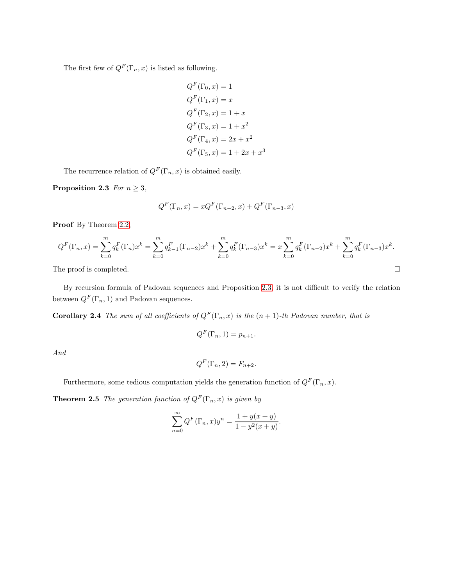The first few of  $Q^F(\Gamma_n, x)$  is listed as following.

$$
QF(\Gamma_0, x) = 1
$$
  
\n
$$
QF(\Gamma_1, x) = x
$$
  
\n
$$
QF(\Gamma_2, x) = 1 + x
$$
  
\n
$$
QF(\Gamma_3, x) = 1 + x2
$$
  
\n
$$
QF(\Gamma_4, x) = 2x + x2
$$
  
\n
$$
QF(\Gamma_5, x) = 1 + 2x + x3
$$

The recurrence relation of  $Q^F(\Gamma_n, x)$  is obtained easily.

Proposition 2.3 For  $n \geq 3$ ,

<span id="page-2-0"></span>
$$
Q^{F}(\Gamma_n, x) = xQ^{F}(\Gamma_{n-2}, x) + Q^{F}(\Gamma_{n-3}, x)
$$

Proof By Theorem [2.2,](#page-1-2)

$$
Q^{F}(\Gamma_{n},x) = \sum_{k=0}^{m} q_{k}^{F}(\Gamma_{n})x^{k} = \sum_{k=0}^{m} q_{k-1}^{F}(\Gamma_{n-2})x^{k} + \sum_{k=0}^{m} q_{k}^{F}(\Gamma_{n-3})x^{k} = x\sum_{k=0}^{m} q_{k}^{F}(\Gamma_{n-2})x^{k} + \sum_{k=0}^{m} q_{k}^{F}(\Gamma_{n-3})x^{k}.
$$
  
The proof is completed.

By recursion formula of Padovan sequences and Proposition [2.3,](#page-2-0) it is not difficult to verify the relation between  $Q^F(\Gamma_n, 1)$  and Padovan sequences.

**Corollary 2.4** The sum of all coefficients of  $Q^F(\Gamma_n, x)$  is the  $(n + 1)$ -th Padovan number, that is

<span id="page-2-1"></span>
$$
Q^F(\Gamma_n, 1) = p_{n+1}.
$$

And

$$
Q^F(\Gamma_n, 2) = F_{n+2}.
$$

Furthermore, some tedious computation yields the generation function of  $Q<sup>F</sup>(\Gamma_n, x)$ .

**Theorem 2.5** The generation function of  $Q^F(\Gamma_n, x)$  is given by

$$
\sum_{n=0}^{\infty} Q^{F}(\Gamma_n, x) y^n = \frac{1 + y(x + y)}{1 - y^2(x + y)}
$$

<span id="page-2-2"></span>.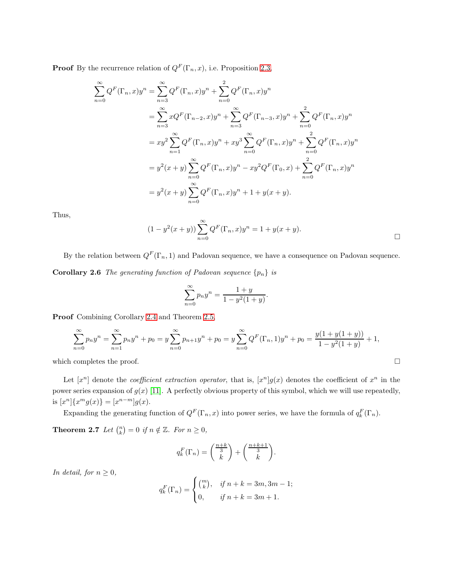**Proof** By the recurrence relation of  $Q^F(\Gamma_n, x)$ , i.e. Proposition [2.3,](#page-2-0)

$$
\sum_{n=0}^{\infty} Q^{F}(\Gamma_{n}, x) y^{n} = \sum_{n=3}^{\infty} Q^{F}(\Gamma_{n}, x) y^{n} + \sum_{n=0}^{2} Q^{F}(\Gamma_{n}, x) y^{n}
$$
  
\n
$$
= \sum_{n=3}^{\infty} x Q^{F}(\Gamma_{n-2}, x) y^{n} + \sum_{n=3}^{\infty} Q^{F}(\Gamma_{n-3}, x) y^{n} + \sum_{n=0}^{2} Q^{F}(\Gamma_{n}, x) y^{n}
$$
  
\n
$$
= xy^{2} \sum_{n=1}^{\infty} Q^{F}(\Gamma_{n}, x) y^{n} + xy^{3} \sum_{n=0}^{\infty} Q^{F}(\Gamma_{n}, x) y^{n} + \sum_{n=0}^{2} Q^{F}(\Gamma_{n}, x) y^{n}
$$
  
\n
$$
= y^{2}(x+y) \sum_{n=0}^{\infty} Q^{F}(\Gamma_{n}, x) y^{n} - xy^{2} Q^{F}(\Gamma_{0}, x) + \sum_{n=0}^{2} Q^{F}(\Gamma_{n}, x) y^{n}
$$
  
\n
$$
= y^{2}(x+y) \sum_{n=0}^{\infty} Q^{F}(\Gamma_{n}, x) y^{n} + 1 + y(x+y).
$$

Thus,

$$
(1 - y^{2}(x + y)) \sum_{n=0}^{\infty} Q^{F}(\Gamma_{n}, x) y^{n} = 1 + y(x + y).
$$

By the relation between  $Q^F(\Gamma_n, 1)$  and Padovan sequence, we have a consequence on Padovan sequence. **Corollary 2.6** The generating function of Padovan sequence  $\{p_n\}$  is

<span id="page-3-1"></span>
$$
\sum_{n=0}^{\infty} p_n y^n = \frac{1+y}{1-y^2(1+y)}.
$$

Proof Combining Corollary [2.4](#page-2-1) and Theorem [2.5,](#page-2-2)

$$
\sum_{n=0}^{\infty} p_n y^n = \sum_{n=1}^{\infty} p_n y^n + p_0 = y \sum_{n=0}^{\infty} p_{n+1} y^n + p_0 = y \sum_{n=0}^{\infty} Q^F(\Gamma_n, 1) y^n + p_0 = \frac{y(1 + y(1 + y))}{1 - y^2(1 + y)} + 1,
$$

which completes the proof.  $\hfill \square$ 

Let  $[x^n]$  denote the *coefficient extraction operator*, that is,  $[x^n]g(x)$  denotes the coefficient of  $x^n$  in the power series expansion of  $g(x)$  [\[11\]](#page-9-10). A perfectly obvious property of this symbol, which we will use repeatedly, is  $[x^n]\{x^mg(x)\} = [x^{n-m}]g(x)$ .

Expanding the generating function of  $Q^F(\Gamma_n, x)$  into power series, we have the formula of  $q_k^F(\Gamma_n)$ .

**Theorem 2.7** Let  $\binom{n}{k} = 0$  if  $n \notin \mathbb{Z}$ . For  $n \geq 0$ ,

<span id="page-3-0"></span>
$$
q_k^F(\Gamma_n) = \binom{\frac{n+k}{3}}{k} + \binom{\frac{n+k+1}{3}}{k}.
$$

In detail, for  $n \geq 0$ ,

$$
q_k^F(\Gamma_n) = \begin{cases} {m \choose k}, & \text{if } n+k = 3m, 3m-1; \\ 0, & \text{if } n+k = 3m+1. \end{cases}
$$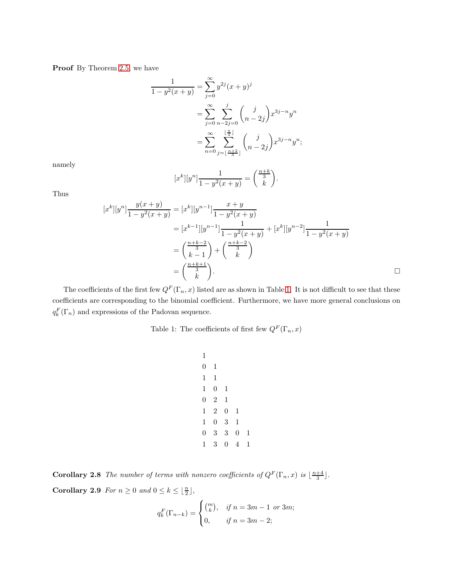Proof By Theorem [2.5,](#page-2-2) we have

$$
\frac{1}{1 - y^2(x + y)} = \sum_{j=0}^{\infty} y^{2j} (x + y)^j
$$

$$
= \sum_{j=0}^{\infty} \sum_{n-2j=0}^{j} {j \choose n-2j} x^{3j-n} y^n
$$

$$
= \sum_{n=0}^{\infty} \sum_{j=\lfloor \frac{n+2}{3} \rfloor}^{\lfloor \frac{n}{2} \rfloor} {j \choose n-2j} x^{3j-n} y^n;
$$

namely

$$
[x^{k}][y^{n}] \frac{1}{1 - y^{2}(x + y)} = \binom{\frac{n + k}{3}}{k}.
$$

Thus

$$
[x^{k}][y^{n}] \frac{y(x+y)}{1-y^{2}(x+y)} = [x^{k}][y^{n-1}] \frac{x+y}{1-y^{2}(x+y)}
$$
  
\n
$$
= [x^{k-1}][y^{n-1}] \frac{1}{1-y^{2}(x+y)} + [x^{k}][y^{n-2}] \frac{1}{1-y^{2}(x+y)}
$$
  
\n
$$
= \left(\frac{\frac{n+k-2}{3}}{k-1}\right) + \left(\frac{\frac{n+k-2}{3}}{k}\right)
$$
  
\n
$$
= \left(\frac{\frac{n+k+1}{3}}{k}\right).
$$

<span id="page-4-0"></span>The coefficients of the first few  $Q^F(\Gamma_n, x)$  listed are as shown in Table [1.](#page-4-0) It is not difficult to see that these coefficients are corresponding to the binomial coefficient. Furthermore, we have more general conclusions on  $q_k^F(\Gamma_n)$  and expressions of the Padovan sequence.

Table 1: The coefficients of first few  $Q^F(\Gamma_n,x)$ 

**Corollary 2.8** The number of terms with nonzero coefficients of  $Q^F(\Gamma_n, x)$  is  $\lfloor \frac{n+4}{3} \rfloor$ .

Corollary 2.9 For  $n \geq 0$  and  $0 \leq k \leq \lfloor \frac{n}{2} \rfloor$ ,

$$
q_k^F(\Gamma_{n-k}) = \begin{cases} \binom{m}{k}, & \text{if } n = 3m - 1 \text{ or } 3m; \\ 0, & \text{if } n = 3m - 2; \end{cases}
$$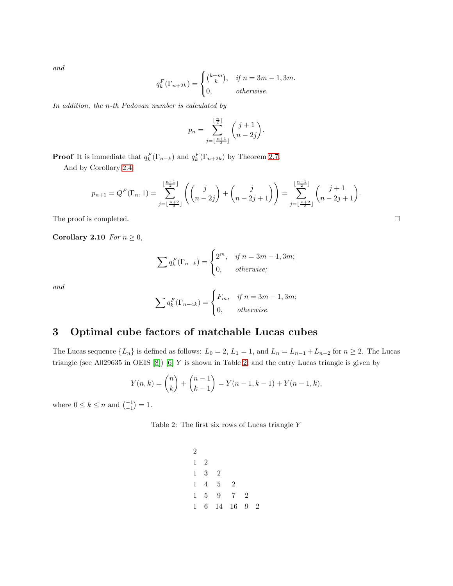and

$$
q_k^F(\Gamma_{n+2k}) = \begin{cases} {k+m \choose k}, & \text{if } n = 3m-1, 3m. \\ 0, & \text{otherwise.} \end{cases}
$$

In addition, the n-th Padovan number is calculated by

$$
p_n = \sum_{j=\lfloor \frac{n+1}{3} \rfloor}^{\lfloor \frac{n}{2} \rfloor} {j+1 \choose n-2j}.
$$

**Proof** It is immediate that  $q_k^F(\Gamma_{n-k})$  and  $q_k^F(\Gamma_{n+2k})$  by Theorem [2.7.](#page-3-0)

And by Corollary [2.4,](#page-2-1)

$$
p_{n+1} = Q^{F}(\Gamma_n, 1) = \sum_{j=\lfloor \frac{n+2}{3} \rfloor}^{\lfloor \frac{n+1}{2} \rfloor} \left( \binom{j}{n-2j} + \binom{j}{n-2j+1} \right) = \sum_{j=\lfloor \frac{n+2}{3} \rfloor}^{\lfloor \frac{n+1}{2} \rfloor} \binom{j+1}{n-2j+1}.
$$

The proof is completed.

Corollary 2.10 For  $n \geq 0$ ,

$$
\sum q_k^F(\Gamma_{n-k}) = \begin{cases} 2^m, & \text{if } n = 3m - 1, 3m; \\ 0, & \text{otherwise}; \end{cases}
$$

and

$$
\sum q_k^F(\Gamma_{n-4k}) = \begin{cases} F_m, & \text{if } n = 3m - 1, 3m; \\ 0, & \text{otherwise.} \end{cases}
$$

## 3 Optimal cube factors of matchable Lucas cubes

The Lucas sequence  $\{L_n\}$  is defined as follows:  $L_0 = 2$ ,  $L_1 = 1$ , and  $L_n = L_{n-1} + L_{n-2}$  for  $n \ge 2$ . The Lucas triangle (see A029635 in OEIS [\[8\]](#page-9-11)) [\[6\]](#page-9-12) Y is shown in Table [2,](#page-5-0) and the entry Lucas triangle is given by

$$
Y(n,k) = \binom{n}{k} + \binom{n-1}{k-1} = Y(n-1,k-1) + Y(n-1,k),
$$

<span id="page-5-0"></span>where  $0 \le k \le n$  and  $\binom{-1}{-1} = 1$ .

Table 2: The first six rows of Lucas triangle Y

$$
\begin{array}{cccc}\n2\\
1 & 2\\
1 & 3 & 2\\
1 & 4 & 5 & 2\\
1 & 5 & 9 & 7 & 2\\
1 & 6 & 14 & 16 & 9 & 2\n\end{array}
$$

$$
\Box
$$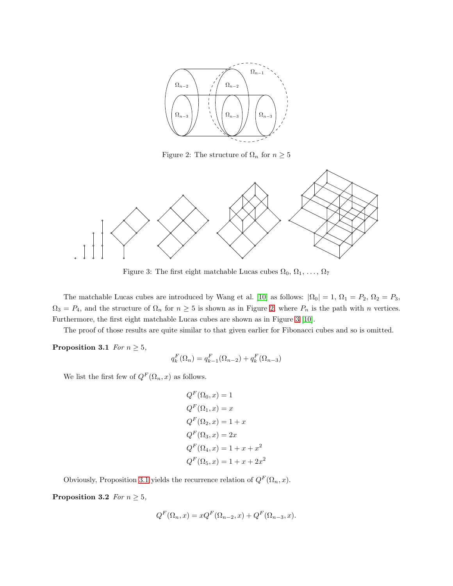<span id="page-6-0"></span>

Figure 2: The structure of  $\Omega_n$  for  $n \geq 5$ 

<span id="page-6-1"></span>

Figure 3: The first eight matchable Lucas cubes  $\Omega_0, \Omega_1, \ldots, \Omega_7$ 

The matchable Lucas cubes are introduced by Wang et al. [\[10\]](#page-9-4) as follows:  $|\Omega_0| = 1$ ,  $\Omega_1 = P_2$ ,  $\Omega_2 = P_3$ ,  $\Omega_3 = P_4$ , and the structure of  $\Omega_n$  for  $n \geq 5$  is shown as in Figure [2,](#page-6-0) where  $P_n$  is the path with n vertices. Furthermore, the first eight matchable Lucas cubes are shown as in Figure [3](#page-6-1) [\[10\]](#page-9-4).

<span id="page-6-2"></span>The proof of those results are quite similar to that given earlier for Fibonacci cubes and so is omitted.

**Proposition 3.1** For  $n \geq 5$ ,

$$
q_k^F(\Omega_n) = q_{k-1}^F(\Omega_{n-2}) + q_k^F(\Omega_{n-3})
$$

We list the first few of  $Q^F(\Omega_n,x)$  as follows.

<span id="page-6-3"></span>
$$
QF(\Omega_0, x) = 1
$$
  
\n
$$
QF(\Omega_1, x) = x
$$
  
\n
$$
QF(\Omega_2, x) = 1 + x
$$
  
\n
$$
QF(\Omega_3, x) = 2x
$$
  
\n
$$
QF(\Omega_4, x) = 1 + x + x2
$$
  
\n
$$
QF(\Omega_5, x) = 1 + x + 2x2
$$

Obviously, Proposition [3.1](#page-6-2) yields the recurrence relation of  $Q^F(\Omega_n, x)$ .

Proposition 3.2 For  $n \geq 5$ ,

$$
Q^{F}(\Omega_{n}, x) = xQ^{F}(\Omega_{n-2}, x) + Q^{F}(\Omega_{n-3}, x).
$$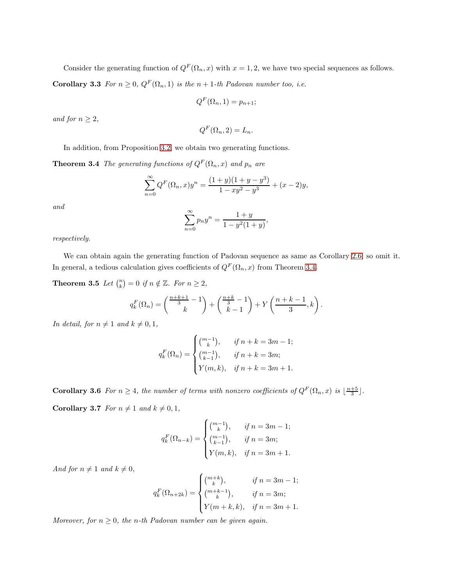Consider the generating function of  $Q^F(\Omega_n, x)$  with  $x = 1, 2$ , we have two special sequences as follows. Corollary 3.3 For  $n \geq 0$ ,  $Q^F(\Omega_n, 1)$  is the  $n + 1$ -th Padovan number too, i.e.

<span id="page-7-1"></span>
$$
Q^F(\Omega_n, 1) = p_{n+1};
$$

and for  $n \geq 2$ ,

<span id="page-7-0"></span>
$$
Q^F(\Omega_n, 2) = L_n.
$$

In addition, from Proposition [3.2,](#page-6-3) we obtain two generating functions.

**Theorem 3.4** The generating functions of  $Q^F(\Omega_n, x)$  and  $p_n$  are

$$
\sum_{n=0}^{\infty} Q^F(\Omega_n, x) y^n = \frac{(1+y)(1+y-y^3)}{1-xy^2-y^3} + (x-2)y,
$$

and

<span id="page-7-2"></span>
$$
\sum_{n=0}^{\infty} p_n y^n = \frac{1+y}{1-y^2(1+y)},
$$

respectively.

We can obtain again the generating function of Padovan sequence as same as Corollary [2.6,](#page-3-1) so omit it. In general, a tedious calculation gives coefficients of  $Q^F(\Omega_n, x)$  from Theorem [3.4.](#page-7-0)

**Theorem 3.5** Let  $\binom{n}{k} = 0$  if  $n \notin \mathbb{Z}$ . For  $n \geq 2$ ,

$$
q_k^F(\Omega_n) = \binom{\frac{n+k+1}{3} - 1}{k} + \binom{\frac{n+k}{3} - 1}{k-1} + Y\left(\frac{n+k-1}{3}, k\right).
$$

In detail, for  $n \neq 1$  and  $k \neq 0, 1$ ,

$$
q_k^F(\Omega_n) = \begin{cases} {m-1 \choose k}, & \text{if } n+k = 3m-1; \\ {m-1 \choose k-1}, & \text{if } n+k = 3m; \\ Y(m,k), & \text{if } n+k = 3m+1. \end{cases}
$$

**Corollary 3.6** For  $n \geq 4$ , the number of terms with nonzero coefficients of  $Q^F(\Omega_n, x)$  is  $\lfloor \frac{n+5}{3} \rfloor$ . Corollary 3.7 For  $n \neq 1$  and  $k \neq 0, 1$ ,

$$
q_k^F(\Omega_{n-k}) = \begin{cases} {m-1 \choose k}, & \text{if } n = 3m-1; \\ {m-1 \choose k-1}, & \text{if } n = 3m; \\ Y(m,k), & \text{if } n = 3m+1. \end{cases}
$$

And for  $n \neq 1$  and  $k \neq 0$ ,

$$
q_k^F(\Omega_{n+2k}) = \begin{cases} {m+k \choose k}, & \text{if } n = 3m - 1; \\ {m+k-1 \choose k}, & \text{if } n = 3m; \\ Y(m+k,k), & \text{if } n = 3m + 1. \end{cases}
$$

Moreover, for  $n \geq 0$ , the n-th Padovan number can be given again.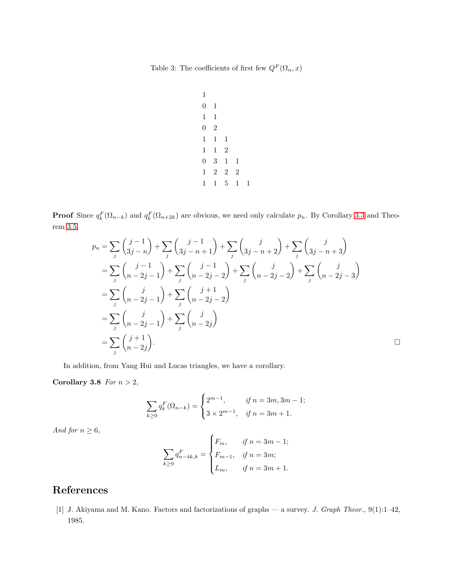Table 3: The coefficients of first few  $Q^F(\Omega_n,x)$ 

**Proof** Since  $q_k^F(\Omega_{n-k})$  and  $q_k^F(\Omega_{n+2k})$  are obvious, we need only calculate  $p_n$ . By Corollary [3.3](#page-7-1) and Theorem [3.5,](#page-7-2)

$$
p_n = \sum_{j} \binom{j-1}{3j-n} + \sum_{j} \binom{j-1}{3j-n+1} + \sum_{j} \binom{j}{3j-n+2} + \sum_{j} \binom{j}{3j-n+3}
$$
  
\n
$$
= \sum_{j} \binom{j-1}{n-2j-1} + \sum_{j} \binom{j-1}{n-2j-2} + \sum_{j} \binom{j}{n-2j-2} + \sum_{j} \binom{j}{n-2j-3}
$$
  
\n
$$
= \sum_{j} \binom{j}{n-2j-1} + \sum_{j} \binom{j+1}{n-2j-2}
$$
  
\n
$$
= \sum_{j} \binom{j}{n-2j-1} + \sum_{j} \binom{j}{n-2j}
$$
  
\n
$$
= \sum_{j} \binom{j}{n-2j-1} + \sum_{j} \binom{j}{n-2j}
$$
  
\n
$$
= \sum_{j} \binom{j+1}{n-2j}.
$$

In addition, from Yang Hui and Lucas triangles, we have a corollary.

Corollary 3.8 For  $n > 2$ ,

$$
\sum_{k\geq 0} q_k^F(\Omega_{n-k}) = \begin{cases} 2^{m-1}, & \text{if } n = 3m, 3m-1; \\ 3 \times 2^{m-1}, & \text{if } n = 3m+1. \end{cases}
$$

And for  $n \geq 6$ ,

$$
\sum_{k\geq 0} q_{n-4k,k}^{F} = \begin{cases} F_m, & \text{if } n = 3m - 1; \\ F_{m-1}, & \text{if } n = 3m; \\ L_m, & \text{if } n = 3m + 1. \end{cases}
$$

# <span id="page-8-0"></span>References

[1] J. Akiyama and M. Kano. Factors and factorizations of graphs — a survey. J. Graph Theor., 9(1):1–42, 1985.